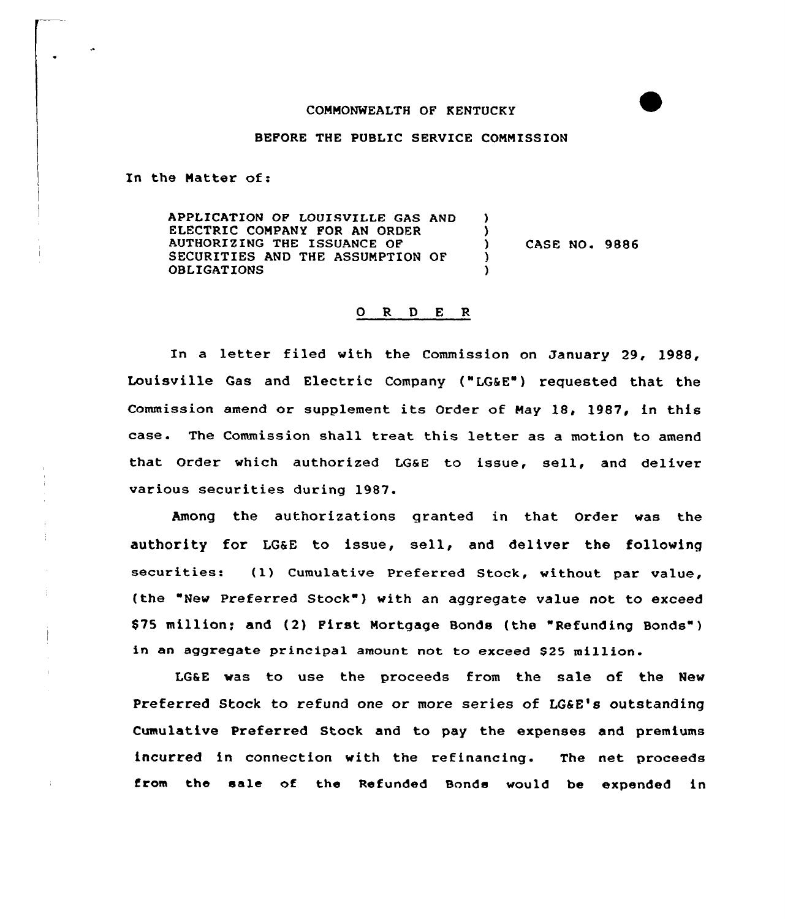## COHHONWEALTH OF KENTUCKY

## BEFORE THE PUBLIC SERVICE COMMISSION

In the Hatter of:

APPLICATION OF LOUISVILLE GAS AND ELECTRIC COMPANY FOR AN ORDER AUTHORIZING THE ISSUANCE OF SECURITIES AND THE ASSUHPTION OF OBLIGATIONS ) )<br>\ CASE NO. 9886 )

## 0 R <sup>D</sup> E R

In a letter filed with the Commission on January 29, 1988, Louisville Gas and Electric Company ("LG&E ) requested that the Commission amend or supplement its Order of Hay l8, 1987, in this case. The Commission shall treat this letter as a motion to amend that Order which authorized LG&E to issue, sell, and deliver various securities during 1987.

Among the authorizations granted in that Order was the authority for LG&E to issue, sell, and deliver the following securities: (1) Cumulative Preferred Stock, without par value, (the "New Preferred Stock") with an aggregate value not to exceed \$75 million; and (2) First Mortgage Bonds (the "Refunding Bonds") in an aggregate principal amount not to exceed \$25 million.

LG&E was to use the proceeds from the sale of the New Preferred Stock to refund one or more series of LG&E's outstanding Cumulative Preferred Stock and to pay the expenses and premiums incurred in connection with the refinancing. The net proceeds from the sale of the Refunded Bonds would be expended in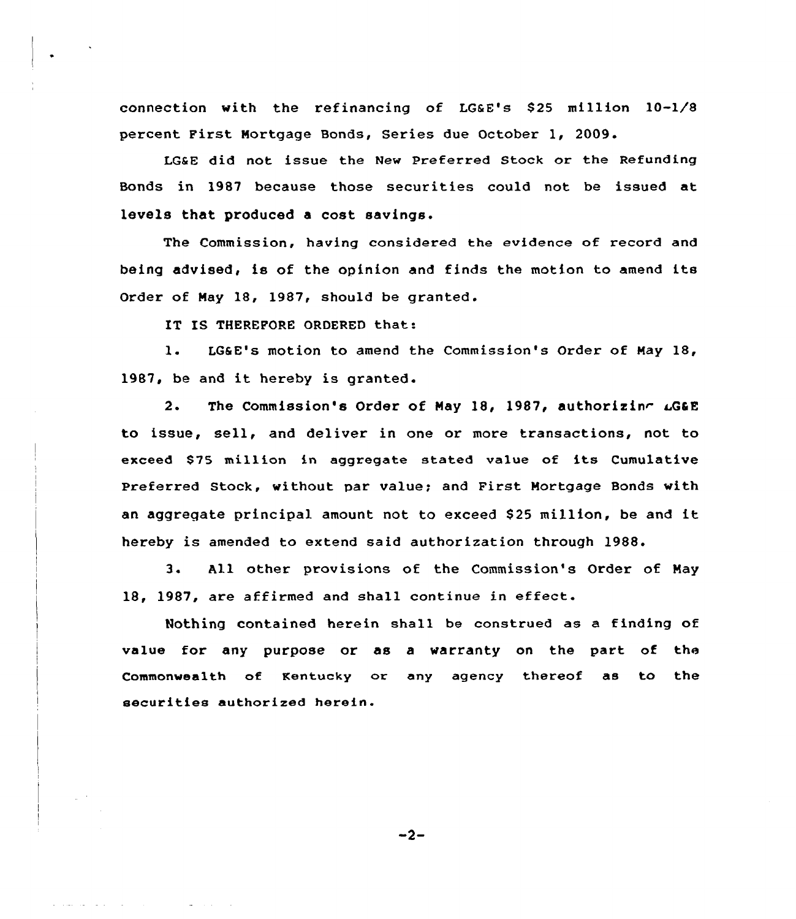connection with the refinancing of LGaE's 825 million 10-1/8 percent First Mortgage Bonds, Series due October 1, 2009.

LGSE did not issue the New Preferred Stack ar the Refunding Bonds in 1987 because those securities could not be issued at levels that produced a cost savings.

The Commission, having considered the evidence of record and being advised, is of the apinion and finds the motion to amend its Order of May 18, 1987, should be granted.

IT IS THEREFORE ORDERED that:

1. LG&E's motion to amend the Commission's Order of May 18, 1987, be and it hereby is granted.

2. The Commission's Order of May 18, 1987, authorizing  $\mathcal{L}GE$ to issue, sell, and deliver in one or more transactions, not to exceed \$75 million in aggregate stated value of its Cumulative Preferred Stock, without par value; and First Mortgage Bonds with an aggregate principal amount not to exceed \$25 million, be and it hereby is amended to extend said authorization through 1988.

3. All other provisions of the Commission's Order of May 18, 1987, are affirmed and shall continue in effect.

Nothing contained herein shall be construed as a finding af value for any purpose or as a warranty on the part of the Commonwealth of Kentucky or any agency thereof as to the securities authorized herein.

 $-2-$